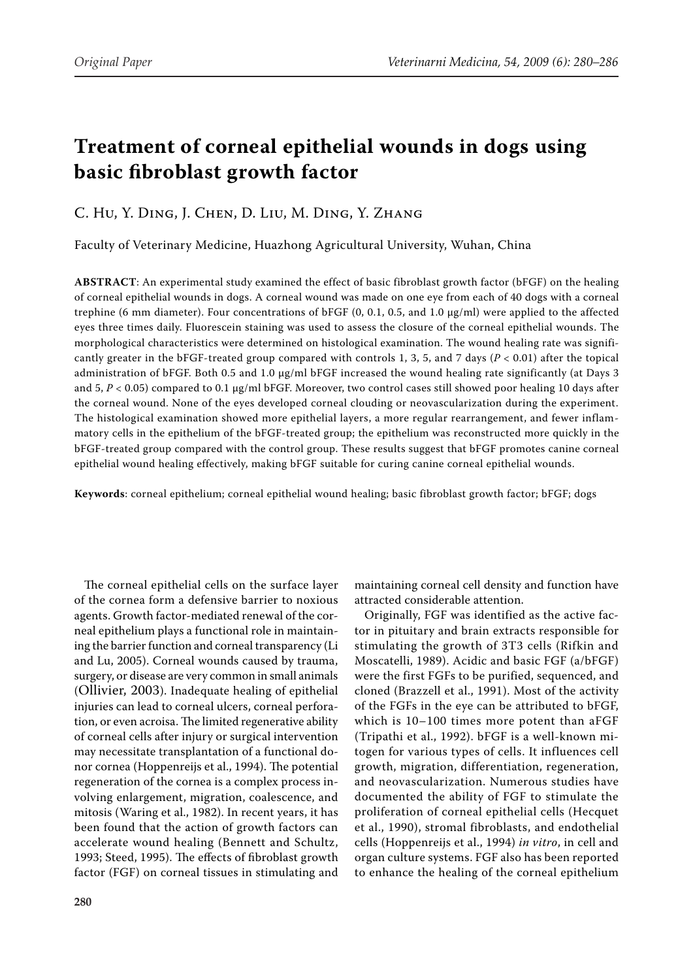# **Treatment of corneal epithelial wounds in dogs using basic fibroblast growth factor**

## C. Hu, Y. Ding, J. Chen, D. Liu, M. Ding, Y. Zhang

Faculty of Veterinary Medicine, Huazhong Agricultural University, Wuhan, China

**ABSTRACT**: An experimental study examined the effect of basic fibroblast growth factor (bFGF) on the healing of corneal epithelial wounds in dogs. A corneal wound was made on one eye from each of 40 dogs with a corneal trephine (6 mm diameter). Four concentrations of bFGF  $(0, 0.1, 0.5,$  and 1.0  $\mu$ g/ml) were applied to the affected eyes three times daily. Fluorescein staining was used to assess the closure of the corneal epithelial wounds. The morphological characteristics were determined on histological examination. The wound healing rate was significantly greater in the bFGF-treated group compared with controls 1, 3, 5, and 7 days (*P* < 0.01) after the topical administration of bFGF. Both 0.5 and 1.0 µg/ml bFGF increased the wound healing rate significantly (at Days 3 and  $5, P < 0.05$ ) compared to 0.1  $\mu$ g/ml bFGF. Moreover, two control cases still showed poor healing 10 days after the corneal wound. None of the eyes developed corneal clouding or neovascularization during the experiment. The histological examination showed more epithelial layers, a more regular rearrangement, and fewer inflammatory cells in the epithelium of the bFGF-treated group; the epithelium was reconstructed more quickly in the bFGF-treated group compared with the control group. These results suggest that bFGF promotes canine corneal epithelial wound healing effectively, making bFGF suitable for curing canine corneal epithelial wounds.

**Keywords**: corneal epithelium; corneal epithelial wound healing; basic fibroblast growth factor; bFGF; dogs

The corneal epithelial cells on the surface layer of the cornea form a defensive barrier to noxious agents. Growth factor-mediated renewal of the corneal epithelium plays a functional role in maintaining the barrier function and corneal transparency (Li and Lu, 2005). Corneal wounds caused by trauma, surgery, or disease are very common in small animals (Ollivier, 2003). Inadequate healing of epithelial injuries can lead to corneal ulcers, corneal perforation, or even acroisa. The limited regenerative ability of corneal cells after injury or surgical intervention may necessitate transplantation of a functional donor cornea (Hoppenreijs et al., 1994). The potential regeneration of the cornea is a complex process involving enlargement, migration, coalescence, and mitosis (Waring et al., 1982). In recent years, it has been found that the action of growth factors can accelerate wound healing (Bennett and Schultz, 1993; Steed, 1995). The effects of fibroblast growth factor (FGF) on corneal tissues in stimulating and

maintaining corneal cell density and function have attracted considerable attention.

Originally, FGF was identified as the active factor in pituitary and brain extracts responsible for stimulating the growth of 3T3 cells (Rifkin and Moscatelli, 1989). Acidic and basic FGF (a/bFGF) were the first FGFs to be purified, sequenced, and cloned (Brazzell et al., 1991). Most of the activity of the FGFs in the eye can be attributed to bFGF, which is 10–100 times more potent than aFGF (Tripathi et al., 1992). bFGF is a well-known mitogen for various types of cells. It influences cell growth, migration, differentiation, regeneration, and neovascularization. Numerous studies have documented the ability of FGF to stimulate the proliferation of corneal epithelial cells (Hecquet et al., 1990), stromal fibroblasts, and endothelial cells (Hoppenreijs et al., 1994) *in vitro*, in cell and organ culture systems. FGF also has been reported to enhance the healing of the corneal epithelium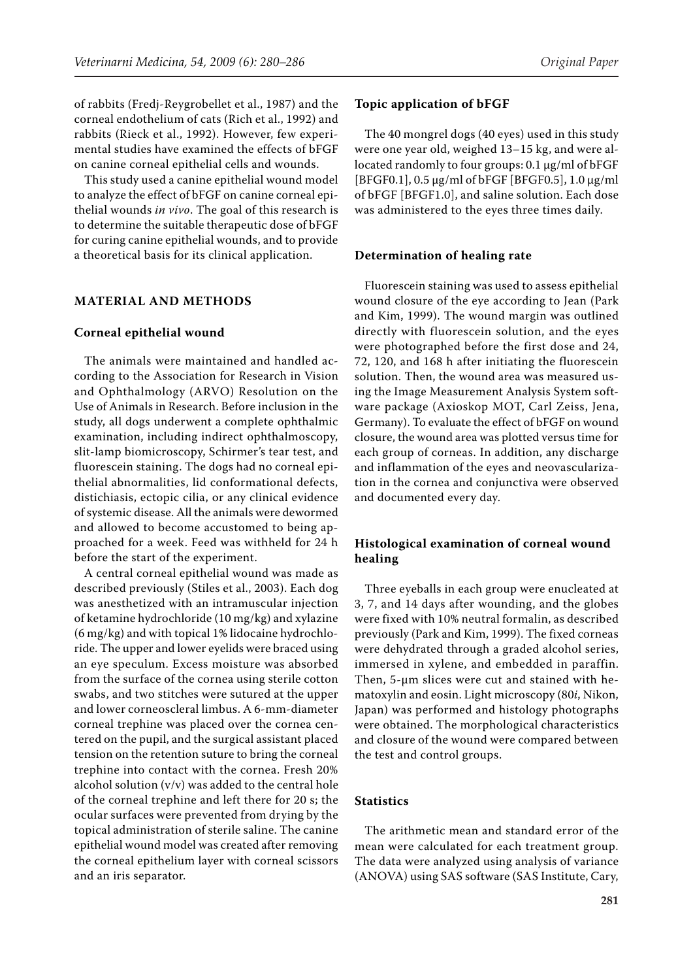of rabbits (Fredj-Reygrobellet et al., 1987) and the corneal endothelium of cats (Rich et al., 1992) and rabbits (Rieck et al., 1992). However, few experimental studies have examined the effects of bFGF on canine corneal epithelial cells and wounds.

This study used a canine epithelial wound model to analyze the effect of bFGF on canine corneal epithelial wounds *in vivo*. The goal of this research is to determine the suitable therapeutic dose of bFGF for curing canine epithelial wounds, and to provide a theoretical basis for its clinical application.

#### **MATERIAL AND METHODS**

#### **Corneal epithelial wound**

The animals were maintained and handled according to the Association for Research in Vision and Ophthalmology (ARVO) Resolution on the Use of Animals in Research. Before inclusion in the study, all dogs underwent a complete ophthalmic examination, including indirect ophthalmoscopy, slit-lamp biomicroscopy, Schirmer's tear test, and fluorescein staining. The dogs had no corneal epithelial abnormalities, lid conformational defects, distichiasis, ectopic cilia, or any clinical evidence of systemic disease. All the animals were dewormed and allowed to become accustomed to being approached for a week. Feed was withheld for 24 h before the start of the experiment.

A central corneal epithelial wound was made as described previously (Stiles et al., 2003). Each dog was anesthetized with an intramuscular injection of ketamine hydrochloride (10 mg/kg) and xylazine (6 mg/kg) and with topical 1% lidocaine hydrochloride. The upper and lower eyelids were braced using an eye speculum. Excess moisture was absorbed from the surface of the cornea using sterile cotton swabs, and two stitches were sutured at the upper and lower corneoscleral limbus. A 6-mm-diameter corneal trephine was placed over the cornea centered on the pupil, and the surgical assistant placed tension on the retention suture to bring the corneal trephine into contact with the cornea. Fresh 20% alcohol solution (v/v) was added to the central hole of the corneal trephine and left there for 20 s; the ocular surfaces were prevented from drying by the topical administration of sterile saline. The canine epithelial wound model was created after removing the corneal epithelium layer with corneal scissors and an iris separator.

#### **Topic application of bFGF**

The 40 mongrel dogs (40 eyes) used in this study were one year old, weighed 13–15 kg, and were allocated randomly to four groups: 0.1 µg/ml of bFGF [BFGF0.1], 0.5 µg/ml of bFGF [BFGF0.5], 1.0 µg/ml of bFGF [BFGF1.0], and saline solution. Each dose was administered to the eyes three times daily.

#### **Determination of healing rate**

Fluorescein staining was used to assess epithelial wound closure of the eye according to Jean (Park and Kim, 1999). The wound margin was outlined directly with fluorescein solution, and the eyes were photographed before the first dose and 24, 72, 120, and 168 h after initiating the fluorescein solution. Then, the wound area was measured using the Image Measurement Analysis System software package (Axioskop MOT, Carl Zeiss, Jena, Germany). To evaluate the effect of bFGF on wound closure, the wound area was plotted versus time for each group of corneas. In addition, any discharge and inflammation of the eyes and neovascularization in the cornea and conjunctiva were observed and documented every day.

## **Histological examination of corneal wound healing**

Three eyeballs in each group were enucleated at 3, 7, and 14 days after wounding, and the globes were fixed with 10% neutral formalin, as described previously (Park and Kim, 1999). The fixed corneas were dehydrated through a graded alcohol series, immersed in xylene, and embedded in paraffin. Then, 5-µm slices were cut and stained with hematoxylin and eosin. Light microscopy (80*i*, Nikon, Japan) was performed and histology photographs were obtained. The morphological characteristics and closure of the wound were compared between the test and control groups.

### **Statistics**

The arithmetic mean and standard error of the mean were calculated for each treatment group. The data were analyzed using analysis of variance (ANOVA) using SAS software (SAS Institute, Cary,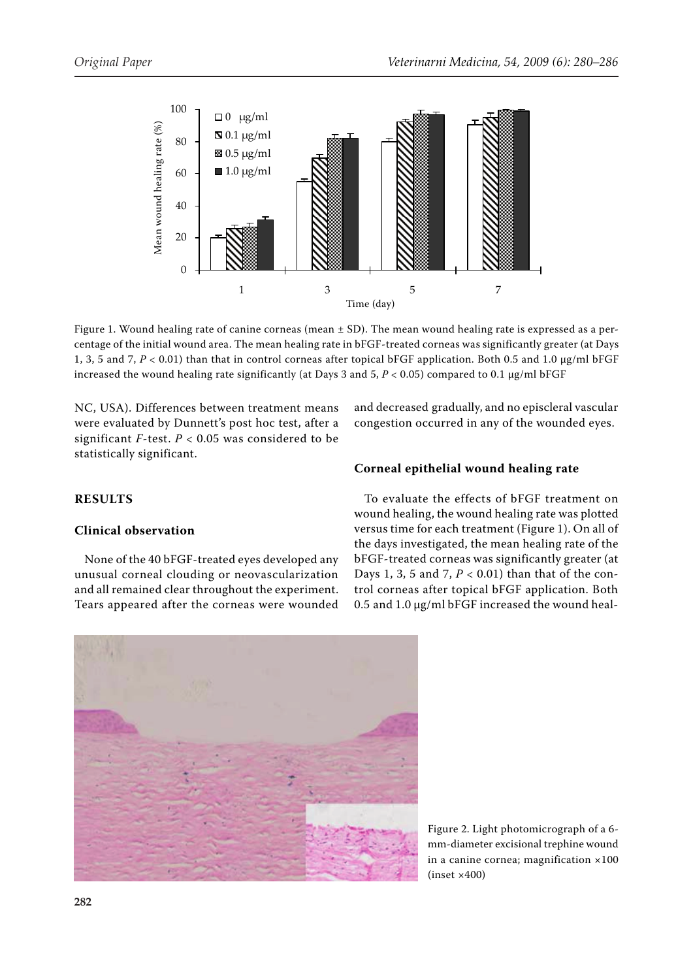

Figure 1. Wound healing rate of canine corneas (mean ± SD). The mean wound healing rate is expressed as a percentage of the initial wound area. The mean healing rate in bFGF-treated corneas was significantly greater (at Days 1, 3, 5 and 7, *P* < 0.01) than that in control corneas after topical bFGF application. Both 0.5 and 1.0 µg/ml bFGF increased the wound healing rate significantly (at Days 3 and  $5$ ,  $P < 0.05$ ) compared to 0.1  $\mu$ g/ml bFGF

NC, USA). Differences between treatment means were evaluated by Dunnett's post hoc test, after a significant  $F$ -test.  $P < 0.05$  was considered to be statistically significant.

and decreased gradually, and no episcleral vascular congestion occurred in any of the wounded eyes.

## **RESULTS**

## **Clinical observation**

None of the 40 bFGF-treated eyes developed any unusual corneal clouding or neovascularization and all remained clear throughout the experiment. Tears appeared after the corneas were wounded

## **Corneal epithelial wound healing rate**

To evaluate the effects of bFGF treatment on wound healing, the wound healing rate was plotted versus time for each treatment (Figure 1). On all of the days investigated, the mean healing rate of the bFGF-treated corneas was significantly greater (at Days 1, 3, 5 and 7, *P* < 0.01) than that of the control corneas after topical bFGF application. Both 0.5 and 1.0 µg/ml bFGF increased the wound heal-



Figure 2. Light photomicrograph of a 6 mm-diameter excisional trephine wound in a canine cornea; magnification ×100  $(inset × 400)$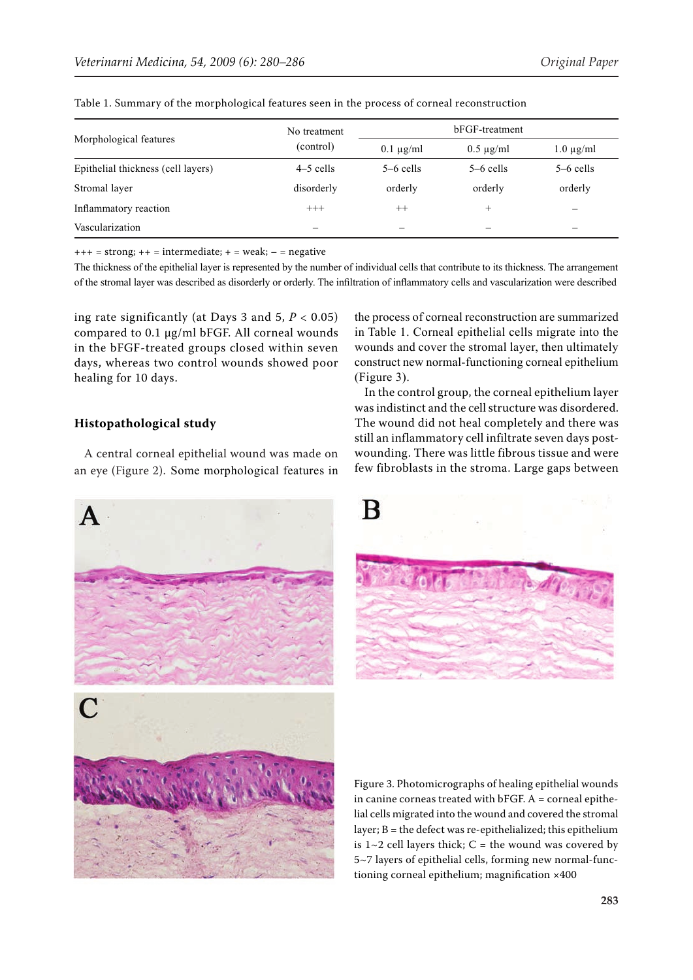| Morphological features             | No treatment<br>(control) | bFGF-treatment |                |                          |
|------------------------------------|---------------------------|----------------|----------------|--------------------------|
|                                    |                           | $0.1 \mu$ g/ml | $0.5 \mu$ g/ml | $1.0 \mu$ g/ml           |
| Epithelial thickness (cell layers) | $4-5$ cells               | $5-6$ cells    | $5-6$ cells    | $5-6$ cells              |
| Stromal layer                      | disorderly                | orderly        | orderly        | orderly                  |
| Inflammatory reaction              | $^{+++}$                  | $^{++}$        | $^{+}$         | $\overline{\phantom{a}}$ |
| Vascularization                    |                           |                | -              | -                        |

Table 1. Summary of the morphological features seen in the process of corneal reconstruction

 $+++$  = strong;  $++$  = intermediate;  $+$  = weak; - = negative

The thickness of the epithelial layer is represented by the number of individual cells that contribute to its thickness. The arrangement of the stromal layer was described as disorderly or orderly. The infiltration of inflammatory cells and vascularization were described

ing rate significantly (at Days 3 and  $5, P < 0.05$ ) compared to 0.1 µg/ml bFGF. All corneal wounds in the bFGF-treated groups closed within seven days, whereas two control wounds showed poor healing for 10 days.

## **Histopathological study**

 $\mathbf{A}$ 

A central corneal epithelial wound was made on an eye (Figure 2). Some morphological features in

the process of corneal reconstruction are summarized in Table 1. Corneal epithelial cells migrate into the wounds and cover the stromal layer, then ultimately construct new normal-functioning corneal epithelium (Figure 3).

In the control group, the corneal epithelium layer was indistinct and the cell structure was disordered. The wound did not heal completely and there was still an inflammatory cell infiltrate seven days postwounding. There was little fibrous tissue and were few fibroblasts in the stroma. Large gaps between





Figure 3. Photomicrographs of healing epithelial wounds in canine corneas treated with  $bf G$ F. A = corneal epithelial cells migrated into the wound and covered the stromal layer;  $B =$  the defect was re-epithelialized; this epithelium is  $1~2$  cell layers thick; C = the wound was covered by 5~7 layers of epithelial cells, forming new normal-functioning corneal epithelium; magnification ×400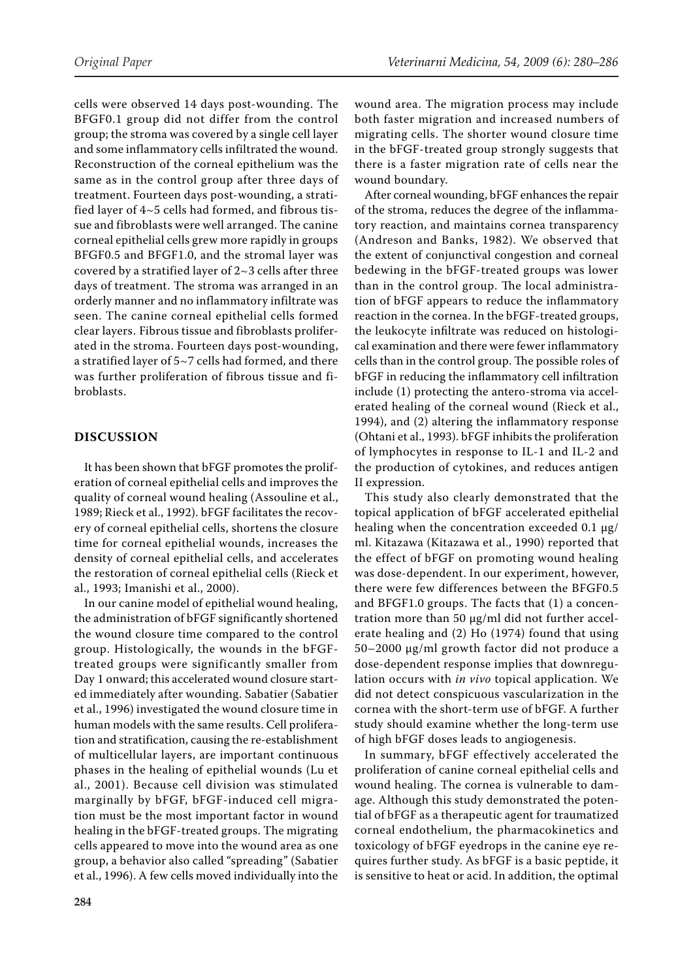cells were observed 14 days post-wounding. The BFGF0.1 group did not differ from the control group; the stroma was covered by a single cell layer and some inflammatory cells infiltrated the wound. Reconstruction of the corneal epithelium was the same as in the control group after three days of treatment. Fourteen days post-wounding, a stratified layer of 4~5 cells had formed, and fibrous tissue and fibroblasts were well arranged. The canine corneal epithelial cells grew more rapidly in groups BFGF0.5 and BFGF1.0, and the stromal layer was covered by a stratified layer of  $2~3$  cells after three days of treatment. The stroma was arranged in an orderly manner and no inflammatory infiltrate was seen. The canine corneal epithelial cells formed clear layers. Fibrous tissue and fibroblasts proliferated in the stroma. Fourteen days post-wounding, a stratified layer of 5~7 cells had formed, and there was further proliferation of fibrous tissue and fibroblasts.

#### **DISCUSSION**

It has been shown that bFGF promotes the proliferation of corneal epithelial cells and improves the quality of corneal wound healing (Assouline et al., 1989; Rieck et al., 1992). bFGF facilitates the recovery of corneal epithelial cells, shortens the closure time for corneal epithelial wounds, increases the density of corneal epithelial cells, and accelerates the restoration of corneal epithelial cells (Rieck et al., 1993; Imanishi et al., 2000).

In our canine model of epithelial wound healing, the administration of bFGF significantly shortened the wound closure time compared to the control group. Histologically, the wounds in the bFGFtreated groups were significantly smaller from Day 1 onward; this accelerated wound closure started immediately after wounding. Sabatier (Sabatier et al., 1996) investigated the wound closure time in human models with the same results. Cell proliferation and stratification, causing the re-establishment of multicellular layers, are important continuous phases in the healing of epithelial wounds (Lu et al., 2001). Because cell division was stimulated marginally by bFGF, bFGF-induced cell migration must be the most important factor in wound healing in the bFGF-treated groups. The migrating cells appeared to move into the wound area as one group, a behavior also called "spreading" (Sabatier et al., 1996). A few cells moved individually into the wound area. The migration process may include both faster migration and increased numbers of migrating cells. The shorter wound closure time in the bFGF-treated group strongly suggests that there is a faster migration rate of cells near the wound boundary.

After corneal wounding, bFGF enhances the repair of the stroma, reduces the degree of the inflammatory reaction, and maintains cornea transparency (Andreson and Banks, 1982). We observed that the extent of conjunctival congestion and corneal bedewing in the bFGF-treated groups was lower than in the control group. The local administration of bFGF appears to reduce the inflammatory reaction in the cornea. In the bFGF-treated groups, the leukocyte infiltrate was reduced on histological examination and there were fewer inflammatory cells than in the control group. The possible roles of bFGF in reducing the inflammatory cell infiltration include (1) protecting the antero-stroma via accelerated healing of the corneal wound (Rieck et al., 1994), and (2) altering the inflammatory response (Ohtani et al., 1993). bFGF inhibits the proliferation of lymphocytes in response to IL-1 and IL-2 and the production of cytokines, and reduces antigen II expression.

This study also clearly demonstrated that the topical application of bFGF accelerated epithelial healing when the concentration exceeded 0.1 µg/ ml. Kitazawa (Kitazawa et al., 1990) reported that the effect of bFGF on promoting wound healing was dose-dependent. In our experiment, however, there were few differences between the BFGF0.5 and BFGF1.0 groups. The facts that (1) a concentration more than 50 µg/ml did not further accelerate healing and (2) Ho (1974) found that using 50–2000 µg/ml growth factor did not produce a dose-dependent response implies that downregulation occurs with *in vivo* topical application. We did not detect conspicuous vascularization in the cornea with the short-term use of bFGF. A further study should examine whether the long-term use of high bFGF doses leads to angiogenesis.

In summary, bFGF effectively accelerated the proliferation of canine corneal epithelial cells and wound healing. The cornea is vulnerable to damage. Although this study demonstrated the potential of bFGF as a therapeutic agent for traumatized corneal endothelium, the pharmacokinetics and toxicology of bFGF eyedrops in the canine eye requires further study. As bFGF is a basic peptide, it is sensitive to heat or acid. In addition, the optimal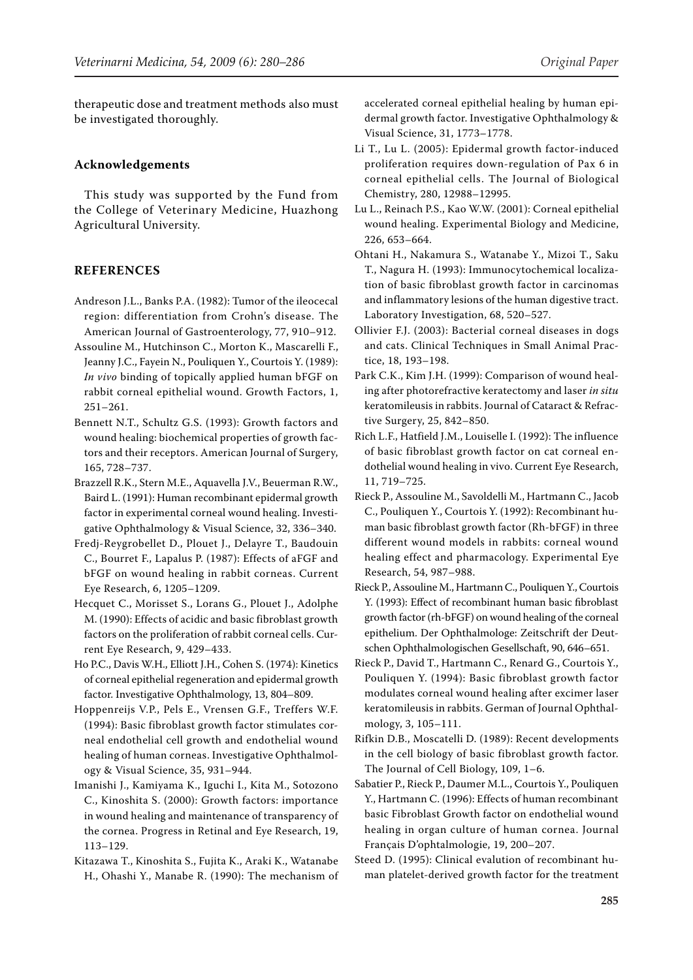therapeutic dose and treatment methods also must be investigated thoroughly.

#### **Acknowledgements**

This study was supported by the Fund from the College of Veterinary Medicine, Huazhong Agricultural University.

#### **REFERENCES**

- Andreson J.L., Banks P.A. (1982): Tumor of the ileocecal region: differentiation from Crohn's disease. The American Journal of Gastroenterology, 77, 910–912.
- Assouline M., Hutchinson C., Morton K., Mascarelli F., Jeanny J.C., Fayein N., Pouliquen Y., Courtois Y. (1989): *In vivo* binding of topically applied human bFGF on rabbit corneal epithelial wound. Growth Factors, 1, 251–261.
- Bennett N.T., Schultz G.S. (1993): Growth factors and wound healing: biochemical properties of growth factors and their receptors. American Journal of Surgery, 165, 728–737.
- Brazzell R.K., Stern M.E., Aquavella J.V., Beuerman R.W., Baird L. (1991): Human recombinant epidermal growth factor in experimental corneal wound healing. Investigative Ophthalmology & Visual Science, 32, 336–340.
- Fredj-Reygrobellet D., Plouet J., Delayre T., Baudouin C., Bourret F., Lapalus P. (1987): Effects of aFGF and bFGF on wound healing in rabbit corneas. Current Eye Research, 6, 1205–1209.
- Hecquet C., Morisset S., Lorans G., Plouet J., Adolphe M. (1990): Effects of acidic and basic fibroblast growth factors on the proliferation of rabbit corneal cells. Current Eye Research, 9, 429–433.
- Ho P.C., Davis W.H., Elliott J.H., Cohen S. (1974): Kinetics of corneal epithelial regeneration and epidermal growth factor. Investigative Ophthalmology, 13, 804–809.
- Hoppenreijs V.P., Pels E., Vrensen G.F., Treffers W.F. (1994): Basic fibroblast growth factor stimulates corneal endothelial cell growth and endothelial wound healing of human corneas. Investigative Ophthalmology & Visual Science, 35, 931–944.
- Imanishi J., Kamiyama K., Iguchi I., Kita M., Sotozono C., Kinoshita S. (2000): Growth factors: importance in wound healing and maintenance of transparency of the cornea. Progress in Retinal and Eye Research, 19, 113–129.
- Kitazawa T., Kinoshita S., Fujita K., Araki K., Watanabe H., Ohashi Y., Manabe R. (1990): The mechanism of

accelerated corneal epithelial healing by human epidermal growth factor. Investigative Ophthalmology & Visual Science, 31, 1773–1778.

- Li T., Lu L. (2005): Epidermal growth factor-induced proliferation requires down-regulation of Pax 6 in corneal epithelial cells. The Journal of Biological Chemistry, 280, 12988–12995.
- Lu L., Reinach P.S., Kao W.W. (2001): Corneal epithelial wound healing. Experimental Biology and Medicine, 226, 653–664.
- Ohtani H., Nakamura S., Watanabe Y., Mizoi T., Saku T., Nagura H. (1993): Immunocytochemical localization of basic fibroblast growth factor in carcinomas and inflammatory lesions of the human digestive tract. Laboratory Investigation, 68, 520–527.
- Ollivier F.J. (2003): Bacterial corneal diseases in dogs and cats. Clinical Techniques in Small Animal Practice, 18, 193–198.
- Park C.K., Kim J.H. (1999): Comparison of wound healing after photorefractive keratectomy and laser *in situ* keratomileusis in rabbits. Journal of Cataract & Refractive Surgery, 25, 842–850.
- Rich L.F., Hatfield J.M., Louiselle I. (1992): The influence of basic fibroblast growth factor on cat corneal endothelial wound healing in vivo. Current Eye Research, 11, 719–725.
- Rieck P., Assouline M., Savoldelli M., Hartmann C., Jacob C., Pouliquen Y., Courtois Y. (1992): Recombinant human basic fibroblast growth factor (Rh-bFGF) in three different wound models in rabbits: corneal wound healing effect and pharmacology. Experimental Eye Research, 54, 987–988.
- Rieck P., Assouline M., Hartmann C., Pouliquen Y., Courtois Y. (1993): Effect of recombinant human basic fibroblast growth factor (rh-bFGF) on wound healing of the corneal epithelium. Der Ophthalmologe: Zeitschrift der Deutschen Ophthalmologischen Gesellschaft, 90, 646–651.
- Rieck P., David T., Hartmann C., Renard G., Courtois Y., Pouliquen Y. (1994): Basic fibroblast growth factor modulates corneal wound healing after excimer laser keratomileusis in rabbits. German of Journal Ophthalmology, 3, 105–111.
- Rifkin D.B., Moscatelli D. (1989): Recent developments in the cell biology of basic fibroblast growth factor. The Journal of Cell Biology, 109, 1–6.
- Sabatier P., Rieck P., Daumer M.L., Courtois Y., Pouliquen Y., Hartmann C. (1996): Effects of human recombinant basic Fibroblast Growth factor on endothelial wound healing in organ culture of human cornea. Journal Français D'ophtalmologie, 19, 200–207.
- Steed D. (1995): Clinical evalution of recombinant human platelet-derived growth factor for the treatment